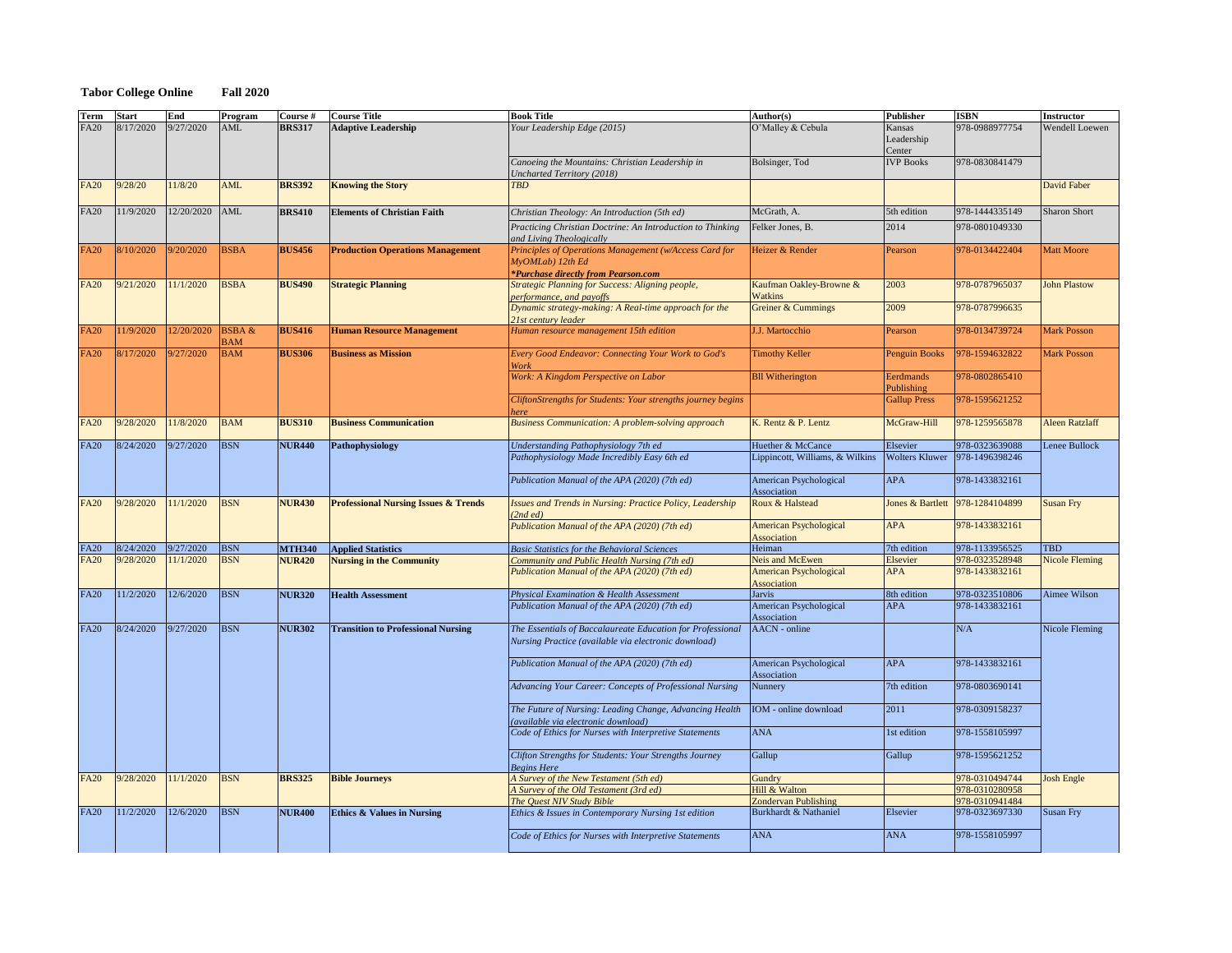## **Tabor College Online Fall 2020**

| 8/17/2020<br>9/27/2020<br>O'Malley & Cebula<br>978-0988977754<br><b>AML</b><br>Your Leadership Edge (2015)<br><b>BRS317</b><br><b>Adaptive Leadership</b><br>Wendell Loewen<br><b>FA20</b><br>Kansas<br>Leadership<br>Center<br>978-0830841479<br>Bolsinger, Tod<br><b>IVP Books</b><br>Canoeing the Mountains: Christian Leadership in<br><b>Uncharted Territory (2018)</b><br>11/8/20<br><b>AML</b><br><b>David Faber</b><br>9/28/20<br><b>BRS392</b><br><b>Knowing the Story</b><br><b>FA20</b><br><b>TBD</b><br>12/20/2020<br>11/9/2020<br>AML<br>McGrath, A.<br>978-1444335149<br><b>Sharon Short</b><br><b>FA20</b><br><b>BRS410</b><br><b>Elements of Christian Faith</b><br>Christian Theology: An Introduction (5th ed)<br>5th edition<br>2014<br>978-0801049330<br>Practicing Christian Doctrine: An Introduction to Thinking<br>Felker Jones, B.<br>and Living Theologically<br>9/20/2020<br><b>BSBA</b><br>8/10/2020<br>Principles of Operations Management (w/Access Card for<br>Heizer & Render<br>978-0134422404<br><b>Matt Moore</b><br><b>BUS456</b><br><b>Production Operations Management</b><br><b>FA20</b><br>Pearson<br>$MyOMLab)$ 12th Ed<br><i>*Purchase directly from Pearson.com</i><br>11/1/2020<br><b>BSBA</b><br>Kaufman Oakley-Browne &<br>2003<br>978-0787965037<br>9/21/2020<br><b>BUS490</b><br><b>Strategic Planning</b><br><b>Strategic Planning for Success: Aligning people,</b><br><b>John Plastow</b><br><b>FA20</b><br><b>Watkins</b><br>performance, and payoffs<br>2009<br>Dynamic strategy-making: A Real-time approach for the<br>Greiner & Cummings<br>978-0787996635<br>21st century leader<br>12/20/2020<br><b>BSBA &amp;</b><br>978-0134739724<br>11/9/2020<br><b>BUS416</b><br>J.J. Martocchio<br><b>Mark Posson</b><br><b>FA20</b><br><b>Human Resource Management</b><br>Human resource management 15th edition<br>Pearson<br><b>BAM</b><br>9/27/2020<br><b>BAM</b><br><b>Mark Posson</b><br>8/17/2020<br><b>BUS306</b><br><b>Business as Mission</b><br><b>Every Good Endeavor: Connecting Your Work to God's</b><br><b>Timothy Keller</b><br><b>Penguin Books</b><br>978-1594632822<br><b>FA20</b><br>Work<br><b>Bll Witherington</b><br>Work: A Kingdom Perspective on Labor<br>978-0802865410<br>Eerdmands<br>Publishing<br>978-1595621252<br>CliftonStrengths for Students: Your strengths journey begins<br><b>Gallup Press</b><br>here<br>9/28/2020<br>11/8/2020<br><b>BAM</b><br>K. Rentz & P. Lentz<br>McGraw-Hill<br>978-1259565878<br><b>FA20</b><br><b>Business Communication</b><br><b>Business Communication: A problem-solving approach</b><br><b>Aleen Ratzlaff</b><br><b>BUS310</b><br>9/27/2020<br><b>BSN</b><br>8/24/2020<br>Understanding Pathophysiology 7th ed<br>Huether & McCance<br>978-0323639088<br>Lenee Bullock<br>Elsevier<br><b>FA20</b><br><b>NUR440</b><br>Pathophysiology<br>Lippincott, Williams, & Wilkins<br><b>Wolters Kluwer</b><br>978-1496398246<br>Pathophysiology Made Incredibly Easy 6th ed<br><b>American Psychological</b><br><b>APA</b><br>978-1433832161<br>Publication Manual of the APA (2020) (7th ed)<br>Association<br><b>BSN</b><br>Jones & Bartlett   978-1284104899<br>9/28/2020<br>11/1/2020<br><b>Professional Nursing Issues &amp; Trends</b><br>Roux & Halstead<br><b>FA20</b><br><b>NUR430</b><br><b>Issues and Trends in Nursing: Practice Policy, Leadership</b><br><b>Susan Fry</b><br>(2nd ed)<br>978-1433832161<br>Publication Manual of the APA (2020) (7th ed)<br><b>APA</b><br><b>American Psychological</b><br>Association<br><b>BSN</b><br>Heiman<br>978-1133956525<br><b>TBD</b><br>8/24/2020<br>9/27/2020<br>7th edition<br><b>FA20</b><br><b>MTH340</b><br><b>Applied Statistics</b><br><b>Basic Statistics for the Behavioral Sciences</b><br>Community and Public Health Nursing (7th ed)<br><b>Neis and McEwen</b><br><b>Nicole Fleming</b><br><b>FA20</b><br>9/28/2020<br>11/1/2020<br><b>BSN</b><br><b>Nursing in the Community</b><br>Elsevier<br>978-0323528948<br><b>NUR420</b><br>Publication Manual of the APA (2020) (7th ed)<br>978-1433832161<br><b>American Psychological</b><br><b>APA</b><br>Association<br>12/6/2020<br><b>BSN</b><br>978-0323510806<br>Aimee Wilson<br>11/2/2020<br>8th edition<br><b>FA20</b><br><b>NUR320</b><br><b>Health Assessment</b><br><b>Physical Examination &amp; Health Assessment</b><br>Jarvis<br>Publication Manual of the APA (2020) (7th ed)<br><b>American Psychological</b><br><b>APA</b><br>978-1433832161<br>Association<br><b>BSN</b><br>8/24/2020<br>9/27/2020<br>N/A<br>Nicole Fleming<br><b>NUR302</b><br><b>Transition to Professional Nursing</b><br>The Essentials of Baccalaureate Education for Professional<br>AACN - online<br><b>FA20</b><br>Nursing Practice (available via electronic download)<br><b>APA</b><br>978-1433832161<br><b>American Psychological</b><br>Publication Manual of the APA (2020) (7th ed)<br>Association<br>978-0803690141<br>7th edition<br>Advancing Your Career: Concepts of Professional Nursing<br>Nunnery<br>978-0309158237<br>The Future of Nursing: Leading Change, Advancing Health<br>IOM - online download<br>2011<br>(available via electronic download)<br><b>ANA</b><br>Code of Ethics for Nurses with Interpretive Statements<br>1st edition<br>978-1558105997<br>Gallup<br>Gallup<br>978-1595621252<br>Clifton Strengths for Students: Your Strengths Journey<br><b>Begins Here</b><br>9/28/2020<br>11/1/2020<br><b>BSN</b><br>A Survey of the New Testament (5th ed)<br>Gundry<br><b>Josh Engle</b><br><b>BRS325</b><br><b>Bible Journeys</b><br>978-0310494744<br><b>FA20</b><br>Hill & Walton<br>A Survey of the Old Testament (3rd ed)<br>978-0310280958<br>978-0310941484<br>The Quest NIV Study Bible<br><b>Zondervan Publishing</b><br>12/6/2020<br><b>BSN</b><br>11/2/2020<br><b>Ethics &amp; Values in Nursing</b><br><b>Susan Fry</b><br><b>FA20</b><br>Burkhardt & Nathaniel<br>978-0323697330<br><b>NUR400</b><br>Ethics & Issues in Contemporary Nursing 1st edition<br>Elsevier<br><b>ANA</b><br><b>ANA</b><br>978-1558105997<br>Code of Ethics for Nurses with Interpretive Statements | <b>Term</b> | <b>Start</b> | <b>End</b> | Program | Course # | <b>Course Title</b> | <b>Book Title</b> | Author(s) | <b>Publisher</b> | <b>ISBN</b> | <b>Instructor</b> |
|--------------------------------------------------------------------------------------------------------------------------------------------------------------------------------------------------------------------------------------------------------------------------------------------------------------------------------------------------------------------------------------------------------------------------------------------------------------------------------------------------------------------------------------------------------------------------------------------------------------------------------------------------------------------------------------------------------------------------------------------------------------------------------------------------------------------------------------------------------------------------------------------------------------------------------------------------------------------------------------------------------------------------------------------------------------------------------------------------------------------------------------------------------------------------------------------------------------------------------------------------------------------------------------------------------------------------------------------------------------------------------------------------------------------------------------------------------------------------------------------------------------------------------------------------------------------------------------------------------------------------------------------------------------------------------------------------------------------------------------------------------------------------------------------------------------------------------------------------------------------------------------------------------------------------------------------------------------------------------------------------------------------------------------------------------------------------------------------------------------------------------------------------------------------------------------------------------------------------------------------------------------------------------------------------------------------------------------------------------------------------------------------------------------------------------------------------------------------------------------------------------------------------------------------------------------------------------------------------------------------------------------------------------------------------------------------------------------------------------------------------------------------------------------------------------------------------------------------------------------------------------------------------------------------------------------------------------------------------------------------------------------------------------------------------------------------------------------------------------------------------------------------------------------------------------------------------------------------------------------------------------------------------------------------------------------------------------------------------------------------------------------------------------------------------------------------------------------------------------------------------------------------------------------------------------------------------------------------------------------------------------------------------------------------------------------------------------------------------------------------------------------------------------------------------------------------------------------------------------------------------------------------------------------------------------------------------------------------------------------------------------------------------------------------------------------------------------------------------------------------------------------------------------------------------------------------------------------------------------------------------------------------------------------------------------------------------------------------------------------------------------------------------------------------------------------------------------------------------------------------------------------------------------------------------------------------------------------------------------------------------------------------------------------------------------------------------------------------------------------------------------------------------------------------------------------------------------------------------------------------------------------------------------------------------------------------------------------------------------------------------------------------------------------------------------------------------------------------------------------------------------------------------------------------------------------------------------------------------------------------------------------------------------------------------------------------------------------------------------------------------------------------------------------------------------------------------------------------------------------------------------------------------------------------------------------------------------------------------------------------------------------------------------------------------------------------------------------------------------------------------------------------------------------------------------------------------------------------------------------------------------------------------------------------------------------------------------------------------------------------------------------------------------------------------------------------------------------------------------------------------------------------------|-------------|--------------|------------|---------|----------|---------------------|-------------------|-----------|------------------|-------------|-------------------|
|                                                                                                                                                                                                                                                                                                                                                                                                                                                                                                                                                                                                                                                                                                                                                                                                                                                                                                                                                                                                                                                                                                                                                                                                                                                                                                                                                                                                                                                                                                                                                                                                                                                                                                                                                                                                                                                                                                                                                                                                                                                                                                                                                                                                                                                                                                                                                                                                                                                                                                                                                                                                                                                                                                                                                                                                                                                                                                                                                                                                                                                                                                                                                                                                                                                                                                                                                                                                                                                                                                                                                                                                                                                                                                                                                                                                                                                                                                                                                                                                                                                                                                                                                                                                                                                                                                                                                                                                                                                                                                                                                                                                                                                                                                                                                                                                                                                                                                                                                                                                                                                                                                                                                                                                                                                                                                                                                                                                                                                                                                                                                                                                                                                                                                                                                                                                                                                                                                                                                                                                                                                                                                                                                  |             |              |            |         |          |                     |                   |           |                  |             |                   |
|                                                                                                                                                                                                                                                                                                                                                                                                                                                                                                                                                                                                                                                                                                                                                                                                                                                                                                                                                                                                                                                                                                                                                                                                                                                                                                                                                                                                                                                                                                                                                                                                                                                                                                                                                                                                                                                                                                                                                                                                                                                                                                                                                                                                                                                                                                                                                                                                                                                                                                                                                                                                                                                                                                                                                                                                                                                                                                                                                                                                                                                                                                                                                                                                                                                                                                                                                                                                                                                                                                                                                                                                                                                                                                                                                                                                                                                                                                                                                                                                                                                                                                                                                                                                                                                                                                                                                                                                                                                                                                                                                                                                                                                                                                                                                                                                                                                                                                                                                                                                                                                                                                                                                                                                                                                                                                                                                                                                                                                                                                                                                                                                                                                                                                                                                                                                                                                                                                                                                                                                                                                                                                                                                  |             |              |            |         |          |                     |                   |           |                  |             |                   |
|                                                                                                                                                                                                                                                                                                                                                                                                                                                                                                                                                                                                                                                                                                                                                                                                                                                                                                                                                                                                                                                                                                                                                                                                                                                                                                                                                                                                                                                                                                                                                                                                                                                                                                                                                                                                                                                                                                                                                                                                                                                                                                                                                                                                                                                                                                                                                                                                                                                                                                                                                                                                                                                                                                                                                                                                                                                                                                                                                                                                                                                                                                                                                                                                                                                                                                                                                                                                                                                                                                                                                                                                                                                                                                                                                                                                                                                                                                                                                                                                                                                                                                                                                                                                                                                                                                                                                                                                                                                                                                                                                                                                                                                                                                                                                                                                                                                                                                                                                                                                                                                                                                                                                                                                                                                                                                                                                                                                                                                                                                                                                                                                                                                                                                                                                                                                                                                                                                                                                                                                                                                                                                                                                  |             |              |            |         |          |                     |                   |           |                  |             |                   |
|                                                                                                                                                                                                                                                                                                                                                                                                                                                                                                                                                                                                                                                                                                                                                                                                                                                                                                                                                                                                                                                                                                                                                                                                                                                                                                                                                                                                                                                                                                                                                                                                                                                                                                                                                                                                                                                                                                                                                                                                                                                                                                                                                                                                                                                                                                                                                                                                                                                                                                                                                                                                                                                                                                                                                                                                                                                                                                                                                                                                                                                                                                                                                                                                                                                                                                                                                                                                                                                                                                                                                                                                                                                                                                                                                                                                                                                                                                                                                                                                                                                                                                                                                                                                                                                                                                                                                                                                                                                                                                                                                                                                                                                                                                                                                                                                                                                                                                                                                                                                                                                                                                                                                                                                                                                                                                                                                                                                                                                                                                                                                                                                                                                                                                                                                                                                                                                                                                                                                                                                                                                                                                                                                  |             |              |            |         |          |                     |                   |           |                  |             |                   |
|                                                                                                                                                                                                                                                                                                                                                                                                                                                                                                                                                                                                                                                                                                                                                                                                                                                                                                                                                                                                                                                                                                                                                                                                                                                                                                                                                                                                                                                                                                                                                                                                                                                                                                                                                                                                                                                                                                                                                                                                                                                                                                                                                                                                                                                                                                                                                                                                                                                                                                                                                                                                                                                                                                                                                                                                                                                                                                                                                                                                                                                                                                                                                                                                                                                                                                                                                                                                                                                                                                                                                                                                                                                                                                                                                                                                                                                                                                                                                                                                                                                                                                                                                                                                                                                                                                                                                                                                                                                                                                                                                                                                                                                                                                                                                                                                                                                                                                                                                                                                                                                                                                                                                                                                                                                                                                                                                                                                                                                                                                                                                                                                                                                                                                                                                                                                                                                                                                                                                                                                                                                                                                                                                  |             |              |            |         |          |                     |                   |           |                  |             |                   |
|                                                                                                                                                                                                                                                                                                                                                                                                                                                                                                                                                                                                                                                                                                                                                                                                                                                                                                                                                                                                                                                                                                                                                                                                                                                                                                                                                                                                                                                                                                                                                                                                                                                                                                                                                                                                                                                                                                                                                                                                                                                                                                                                                                                                                                                                                                                                                                                                                                                                                                                                                                                                                                                                                                                                                                                                                                                                                                                                                                                                                                                                                                                                                                                                                                                                                                                                                                                                                                                                                                                                                                                                                                                                                                                                                                                                                                                                                                                                                                                                                                                                                                                                                                                                                                                                                                                                                                                                                                                                                                                                                                                                                                                                                                                                                                                                                                                                                                                                                                                                                                                                                                                                                                                                                                                                                                                                                                                                                                                                                                                                                                                                                                                                                                                                                                                                                                                                                                                                                                                                                                                                                                                                                  |             |              |            |         |          |                     |                   |           |                  |             |                   |
|                                                                                                                                                                                                                                                                                                                                                                                                                                                                                                                                                                                                                                                                                                                                                                                                                                                                                                                                                                                                                                                                                                                                                                                                                                                                                                                                                                                                                                                                                                                                                                                                                                                                                                                                                                                                                                                                                                                                                                                                                                                                                                                                                                                                                                                                                                                                                                                                                                                                                                                                                                                                                                                                                                                                                                                                                                                                                                                                                                                                                                                                                                                                                                                                                                                                                                                                                                                                                                                                                                                                                                                                                                                                                                                                                                                                                                                                                                                                                                                                                                                                                                                                                                                                                                                                                                                                                                                                                                                                                                                                                                                                                                                                                                                                                                                                                                                                                                                                                                                                                                                                                                                                                                                                                                                                                                                                                                                                                                                                                                                                                                                                                                                                                                                                                                                                                                                                                                                                                                                                                                                                                                                                                  |             |              |            |         |          |                     |                   |           |                  |             |                   |
|                                                                                                                                                                                                                                                                                                                                                                                                                                                                                                                                                                                                                                                                                                                                                                                                                                                                                                                                                                                                                                                                                                                                                                                                                                                                                                                                                                                                                                                                                                                                                                                                                                                                                                                                                                                                                                                                                                                                                                                                                                                                                                                                                                                                                                                                                                                                                                                                                                                                                                                                                                                                                                                                                                                                                                                                                                                                                                                                                                                                                                                                                                                                                                                                                                                                                                                                                                                                                                                                                                                                                                                                                                                                                                                                                                                                                                                                                                                                                                                                                                                                                                                                                                                                                                                                                                                                                                                                                                                                                                                                                                                                                                                                                                                                                                                                                                                                                                                                                                                                                                                                                                                                                                                                                                                                                                                                                                                                                                                                                                                                                                                                                                                                                                                                                                                                                                                                                                                                                                                                                                                                                                                                                  |             |              |            |         |          |                     |                   |           |                  |             |                   |
|                                                                                                                                                                                                                                                                                                                                                                                                                                                                                                                                                                                                                                                                                                                                                                                                                                                                                                                                                                                                                                                                                                                                                                                                                                                                                                                                                                                                                                                                                                                                                                                                                                                                                                                                                                                                                                                                                                                                                                                                                                                                                                                                                                                                                                                                                                                                                                                                                                                                                                                                                                                                                                                                                                                                                                                                                                                                                                                                                                                                                                                                                                                                                                                                                                                                                                                                                                                                                                                                                                                                                                                                                                                                                                                                                                                                                                                                                                                                                                                                                                                                                                                                                                                                                                                                                                                                                                                                                                                                                                                                                                                                                                                                                                                                                                                                                                                                                                                                                                                                                                                                                                                                                                                                                                                                                                                                                                                                                                                                                                                                                                                                                                                                                                                                                                                                                                                                                                                                                                                                                                                                                                                                                  |             |              |            |         |          |                     |                   |           |                  |             |                   |
|                                                                                                                                                                                                                                                                                                                                                                                                                                                                                                                                                                                                                                                                                                                                                                                                                                                                                                                                                                                                                                                                                                                                                                                                                                                                                                                                                                                                                                                                                                                                                                                                                                                                                                                                                                                                                                                                                                                                                                                                                                                                                                                                                                                                                                                                                                                                                                                                                                                                                                                                                                                                                                                                                                                                                                                                                                                                                                                                                                                                                                                                                                                                                                                                                                                                                                                                                                                                                                                                                                                                                                                                                                                                                                                                                                                                                                                                                                                                                                                                                                                                                                                                                                                                                                                                                                                                                                                                                                                                                                                                                                                                                                                                                                                                                                                                                                                                                                                                                                                                                                                                                                                                                                                                                                                                                                                                                                                                                                                                                                                                                                                                                                                                                                                                                                                                                                                                                                                                                                                                                                                                                                                                                  |             |              |            |         |          |                     |                   |           |                  |             |                   |
|                                                                                                                                                                                                                                                                                                                                                                                                                                                                                                                                                                                                                                                                                                                                                                                                                                                                                                                                                                                                                                                                                                                                                                                                                                                                                                                                                                                                                                                                                                                                                                                                                                                                                                                                                                                                                                                                                                                                                                                                                                                                                                                                                                                                                                                                                                                                                                                                                                                                                                                                                                                                                                                                                                                                                                                                                                                                                                                                                                                                                                                                                                                                                                                                                                                                                                                                                                                                                                                                                                                                                                                                                                                                                                                                                                                                                                                                                                                                                                                                                                                                                                                                                                                                                                                                                                                                                                                                                                                                                                                                                                                                                                                                                                                                                                                                                                                                                                                                                                                                                                                                                                                                                                                                                                                                                                                                                                                                                                                                                                                                                                                                                                                                                                                                                                                                                                                                                                                                                                                                                                                                                                                                                  |             |              |            |         |          |                     |                   |           |                  |             |                   |
|                                                                                                                                                                                                                                                                                                                                                                                                                                                                                                                                                                                                                                                                                                                                                                                                                                                                                                                                                                                                                                                                                                                                                                                                                                                                                                                                                                                                                                                                                                                                                                                                                                                                                                                                                                                                                                                                                                                                                                                                                                                                                                                                                                                                                                                                                                                                                                                                                                                                                                                                                                                                                                                                                                                                                                                                                                                                                                                                                                                                                                                                                                                                                                                                                                                                                                                                                                                                                                                                                                                                                                                                                                                                                                                                                                                                                                                                                                                                                                                                                                                                                                                                                                                                                                                                                                                                                                                                                                                                                                                                                                                                                                                                                                                                                                                                                                                                                                                                                                                                                                                                                                                                                                                                                                                                                                                                                                                                                                                                                                                                                                                                                                                                                                                                                                                                                                                                                                                                                                                                                                                                                                                                                  |             |              |            |         |          |                     |                   |           |                  |             |                   |
|                                                                                                                                                                                                                                                                                                                                                                                                                                                                                                                                                                                                                                                                                                                                                                                                                                                                                                                                                                                                                                                                                                                                                                                                                                                                                                                                                                                                                                                                                                                                                                                                                                                                                                                                                                                                                                                                                                                                                                                                                                                                                                                                                                                                                                                                                                                                                                                                                                                                                                                                                                                                                                                                                                                                                                                                                                                                                                                                                                                                                                                                                                                                                                                                                                                                                                                                                                                                                                                                                                                                                                                                                                                                                                                                                                                                                                                                                                                                                                                                                                                                                                                                                                                                                                                                                                                                                                                                                                                                                                                                                                                                                                                                                                                                                                                                                                                                                                                                                                                                                                                                                                                                                                                                                                                                                                                                                                                                                                                                                                                                                                                                                                                                                                                                                                                                                                                                                                                                                                                                                                                                                                                                                  |             |              |            |         |          |                     |                   |           |                  |             |                   |
|                                                                                                                                                                                                                                                                                                                                                                                                                                                                                                                                                                                                                                                                                                                                                                                                                                                                                                                                                                                                                                                                                                                                                                                                                                                                                                                                                                                                                                                                                                                                                                                                                                                                                                                                                                                                                                                                                                                                                                                                                                                                                                                                                                                                                                                                                                                                                                                                                                                                                                                                                                                                                                                                                                                                                                                                                                                                                                                                                                                                                                                                                                                                                                                                                                                                                                                                                                                                                                                                                                                                                                                                                                                                                                                                                                                                                                                                                                                                                                                                                                                                                                                                                                                                                                                                                                                                                                                                                                                                                                                                                                                                                                                                                                                                                                                                                                                                                                                                                                                                                                                                                                                                                                                                                                                                                                                                                                                                                                                                                                                                                                                                                                                                                                                                                                                                                                                                                                                                                                                                                                                                                                                                                  |             |              |            |         |          |                     |                   |           |                  |             |                   |
|                                                                                                                                                                                                                                                                                                                                                                                                                                                                                                                                                                                                                                                                                                                                                                                                                                                                                                                                                                                                                                                                                                                                                                                                                                                                                                                                                                                                                                                                                                                                                                                                                                                                                                                                                                                                                                                                                                                                                                                                                                                                                                                                                                                                                                                                                                                                                                                                                                                                                                                                                                                                                                                                                                                                                                                                                                                                                                                                                                                                                                                                                                                                                                                                                                                                                                                                                                                                                                                                                                                                                                                                                                                                                                                                                                                                                                                                                                                                                                                                                                                                                                                                                                                                                                                                                                                                                                                                                                                                                                                                                                                                                                                                                                                                                                                                                                                                                                                                                                                                                                                                                                                                                                                                                                                                                                                                                                                                                                                                                                                                                                                                                                                                                                                                                                                                                                                                                                                                                                                                                                                                                                                                                  |             |              |            |         |          |                     |                   |           |                  |             |                   |
|                                                                                                                                                                                                                                                                                                                                                                                                                                                                                                                                                                                                                                                                                                                                                                                                                                                                                                                                                                                                                                                                                                                                                                                                                                                                                                                                                                                                                                                                                                                                                                                                                                                                                                                                                                                                                                                                                                                                                                                                                                                                                                                                                                                                                                                                                                                                                                                                                                                                                                                                                                                                                                                                                                                                                                                                                                                                                                                                                                                                                                                                                                                                                                                                                                                                                                                                                                                                                                                                                                                                                                                                                                                                                                                                                                                                                                                                                                                                                                                                                                                                                                                                                                                                                                                                                                                                                                                                                                                                                                                                                                                                                                                                                                                                                                                                                                                                                                                                                                                                                                                                                                                                                                                                                                                                                                                                                                                                                                                                                                                                                                                                                                                                                                                                                                                                                                                                                                                                                                                                                                                                                                                                                  |             |              |            |         |          |                     |                   |           |                  |             |                   |
|                                                                                                                                                                                                                                                                                                                                                                                                                                                                                                                                                                                                                                                                                                                                                                                                                                                                                                                                                                                                                                                                                                                                                                                                                                                                                                                                                                                                                                                                                                                                                                                                                                                                                                                                                                                                                                                                                                                                                                                                                                                                                                                                                                                                                                                                                                                                                                                                                                                                                                                                                                                                                                                                                                                                                                                                                                                                                                                                                                                                                                                                                                                                                                                                                                                                                                                                                                                                                                                                                                                                                                                                                                                                                                                                                                                                                                                                                                                                                                                                                                                                                                                                                                                                                                                                                                                                                                                                                                                                                                                                                                                                                                                                                                                                                                                                                                                                                                                                                                                                                                                                                                                                                                                                                                                                                                                                                                                                                                                                                                                                                                                                                                                                                                                                                                                                                                                                                                                                                                                                                                                                                                                                                  |             |              |            |         |          |                     |                   |           |                  |             |                   |
|                                                                                                                                                                                                                                                                                                                                                                                                                                                                                                                                                                                                                                                                                                                                                                                                                                                                                                                                                                                                                                                                                                                                                                                                                                                                                                                                                                                                                                                                                                                                                                                                                                                                                                                                                                                                                                                                                                                                                                                                                                                                                                                                                                                                                                                                                                                                                                                                                                                                                                                                                                                                                                                                                                                                                                                                                                                                                                                                                                                                                                                                                                                                                                                                                                                                                                                                                                                                                                                                                                                                                                                                                                                                                                                                                                                                                                                                                                                                                                                                                                                                                                                                                                                                                                                                                                                                                                                                                                                                                                                                                                                                                                                                                                                                                                                                                                                                                                                                                                                                                                                                                                                                                                                                                                                                                                                                                                                                                                                                                                                                                                                                                                                                                                                                                                                                                                                                                                                                                                                                                                                                                                                                                  |             |              |            |         |          |                     |                   |           |                  |             |                   |
|                                                                                                                                                                                                                                                                                                                                                                                                                                                                                                                                                                                                                                                                                                                                                                                                                                                                                                                                                                                                                                                                                                                                                                                                                                                                                                                                                                                                                                                                                                                                                                                                                                                                                                                                                                                                                                                                                                                                                                                                                                                                                                                                                                                                                                                                                                                                                                                                                                                                                                                                                                                                                                                                                                                                                                                                                                                                                                                                                                                                                                                                                                                                                                                                                                                                                                                                                                                                                                                                                                                                                                                                                                                                                                                                                                                                                                                                                                                                                                                                                                                                                                                                                                                                                                                                                                                                                                                                                                                                                                                                                                                                                                                                                                                                                                                                                                                                                                                                                                                                                                                                                                                                                                                                                                                                                                                                                                                                                                                                                                                                                                                                                                                                                                                                                                                                                                                                                                                                                                                                                                                                                                                                                  |             |              |            |         |          |                     |                   |           |                  |             |                   |
|                                                                                                                                                                                                                                                                                                                                                                                                                                                                                                                                                                                                                                                                                                                                                                                                                                                                                                                                                                                                                                                                                                                                                                                                                                                                                                                                                                                                                                                                                                                                                                                                                                                                                                                                                                                                                                                                                                                                                                                                                                                                                                                                                                                                                                                                                                                                                                                                                                                                                                                                                                                                                                                                                                                                                                                                                                                                                                                                                                                                                                                                                                                                                                                                                                                                                                                                                                                                                                                                                                                                                                                                                                                                                                                                                                                                                                                                                                                                                                                                                                                                                                                                                                                                                                                                                                                                                                                                                                                                                                                                                                                                                                                                                                                                                                                                                                                                                                                                                                                                                                                                                                                                                                                                                                                                                                                                                                                                                                                                                                                                                                                                                                                                                                                                                                                                                                                                                                                                                                                                                                                                                                                                                  |             |              |            |         |          |                     |                   |           |                  |             |                   |
|                                                                                                                                                                                                                                                                                                                                                                                                                                                                                                                                                                                                                                                                                                                                                                                                                                                                                                                                                                                                                                                                                                                                                                                                                                                                                                                                                                                                                                                                                                                                                                                                                                                                                                                                                                                                                                                                                                                                                                                                                                                                                                                                                                                                                                                                                                                                                                                                                                                                                                                                                                                                                                                                                                                                                                                                                                                                                                                                                                                                                                                                                                                                                                                                                                                                                                                                                                                                                                                                                                                                                                                                                                                                                                                                                                                                                                                                                                                                                                                                                                                                                                                                                                                                                                                                                                                                                                                                                                                                                                                                                                                                                                                                                                                                                                                                                                                                                                                                                                                                                                                                                                                                                                                                                                                                                                                                                                                                                                                                                                                                                                                                                                                                                                                                                                                                                                                                                                                                                                                                                                                                                                                                                  |             |              |            |         |          |                     |                   |           |                  |             |                   |
|                                                                                                                                                                                                                                                                                                                                                                                                                                                                                                                                                                                                                                                                                                                                                                                                                                                                                                                                                                                                                                                                                                                                                                                                                                                                                                                                                                                                                                                                                                                                                                                                                                                                                                                                                                                                                                                                                                                                                                                                                                                                                                                                                                                                                                                                                                                                                                                                                                                                                                                                                                                                                                                                                                                                                                                                                                                                                                                                                                                                                                                                                                                                                                                                                                                                                                                                                                                                                                                                                                                                                                                                                                                                                                                                                                                                                                                                                                                                                                                                                                                                                                                                                                                                                                                                                                                                                                                                                                                                                                                                                                                                                                                                                                                                                                                                                                                                                                                                                                                                                                                                                                                                                                                                                                                                                                                                                                                                                                                                                                                                                                                                                                                                                                                                                                                                                                                                                                                                                                                                                                                                                                                                                  |             |              |            |         |          |                     |                   |           |                  |             |                   |
|                                                                                                                                                                                                                                                                                                                                                                                                                                                                                                                                                                                                                                                                                                                                                                                                                                                                                                                                                                                                                                                                                                                                                                                                                                                                                                                                                                                                                                                                                                                                                                                                                                                                                                                                                                                                                                                                                                                                                                                                                                                                                                                                                                                                                                                                                                                                                                                                                                                                                                                                                                                                                                                                                                                                                                                                                                                                                                                                                                                                                                                                                                                                                                                                                                                                                                                                                                                                                                                                                                                                                                                                                                                                                                                                                                                                                                                                                                                                                                                                                                                                                                                                                                                                                                                                                                                                                                                                                                                                                                                                                                                                                                                                                                                                                                                                                                                                                                                                                                                                                                                                                                                                                                                                                                                                                                                                                                                                                                                                                                                                                                                                                                                                                                                                                                                                                                                                                                                                                                                                                                                                                                                                                  |             |              |            |         |          |                     |                   |           |                  |             |                   |
|                                                                                                                                                                                                                                                                                                                                                                                                                                                                                                                                                                                                                                                                                                                                                                                                                                                                                                                                                                                                                                                                                                                                                                                                                                                                                                                                                                                                                                                                                                                                                                                                                                                                                                                                                                                                                                                                                                                                                                                                                                                                                                                                                                                                                                                                                                                                                                                                                                                                                                                                                                                                                                                                                                                                                                                                                                                                                                                                                                                                                                                                                                                                                                                                                                                                                                                                                                                                                                                                                                                                                                                                                                                                                                                                                                                                                                                                                                                                                                                                                                                                                                                                                                                                                                                                                                                                                                                                                                                                                                                                                                                                                                                                                                                                                                                                                                                                                                                                                                                                                                                                                                                                                                                                                                                                                                                                                                                                                                                                                                                                                                                                                                                                                                                                                                                                                                                                                                                                                                                                                                                                                                                                                  |             |              |            |         |          |                     |                   |           |                  |             |                   |
|                                                                                                                                                                                                                                                                                                                                                                                                                                                                                                                                                                                                                                                                                                                                                                                                                                                                                                                                                                                                                                                                                                                                                                                                                                                                                                                                                                                                                                                                                                                                                                                                                                                                                                                                                                                                                                                                                                                                                                                                                                                                                                                                                                                                                                                                                                                                                                                                                                                                                                                                                                                                                                                                                                                                                                                                                                                                                                                                                                                                                                                                                                                                                                                                                                                                                                                                                                                                                                                                                                                                                                                                                                                                                                                                                                                                                                                                                                                                                                                                                                                                                                                                                                                                                                                                                                                                                                                                                                                                                                                                                                                                                                                                                                                                                                                                                                                                                                                                                                                                                                                                                                                                                                                                                                                                                                                                                                                                                                                                                                                                                                                                                                                                                                                                                                                                                                                                                                                                                                                                                                                                                                                                                  |             |              |            |         |          |                     |                   |           |                  |             |                   |
|                                                                                                                                                                                                                                                                                                                                                                                                                                                                                                                                                                                                                                                                                                                                                                                                                                                                                                                                                                                                                                                                                                                                                                                                                                                                                                                                                                                                                                                                                                                                                                                                                                                                                                                                                                                                                                                                                                                                                                                                                                                                                                                                                                                                                                                                                                                                                                                                                                                                                                                                                                                                                                                                                                                                                                                                                                                                                                                                                                                                                                                                                                                                                                                                                                                                                                                                                                                                                                                                                                                                                                                                                                                                                                                                                                                                                                                                                                                                                                                                                                                                                                                                                                                                                                                                                                                                                                                                                                                                                                                                                                                                                                                                                                                                                                                                                                                                                                                                                                                                                                                                                                                                                                                                                                                                                                                                                                                                                                                                                                                                                                                                                                                                                                                                                                                                                                                                                                                                                                                                                                                                                                                                                  |             |              |            |         |          |                     |                   |           |                  |             |                   |
|                                                                                                                                                                                                                                                                                                                                                                                                                                                                                                                                                                                                                                                                                                                                                                                                                                                                                                                                                                                                                                                                                                                                                                                                                                                                                                                                                                                                                                                                                                                                                                                                                                                                                                                                                                                                                                                                                                                                                                                                                                                                                                                                                                                                                                                                                                                                                                                                                                                                                                                                                                                                                                                                                                                                                                                                                                                                                                                                                                                                                                                                                                                                                                                                                                                                                                                                                                                                                                                                                                                                                                                                                                                                                                                                                                                                                                                                                                                                                                                                                                                                                                                                                                                                                                                                                                                                                                                                                                                                                                                                                                                                                                                                                                                                                                                                                                                                                                                                                                                                                                                                                                                                                                                                                                                                                                                                                                                                                                                                                                                                                                                                                                                                                                                                                                                                                                                                                                                                                                                                                                                                                                                                                  |             |              |            |         |          |                     |                   |           |                  |             |                   |
|                                                                                                                                                                                                                                                                                                                                                                                                                                                                                                                                                                                                                                                                                                                                                                                                                                                                                                                                                                                                                                                                                                                                                                                                                                                                                                                                                                                                                                                                                                                                                                                                                                                                                                                                                                                                                                                                                                                                                                                                                                                                                                                                                                                                                                                                                                                                                                                                                                                                                                                                                                                                                                                                                                                                                                                                                                                                                                                                                                                                                                                                                                                                                                                                                                                                                                                                                                                                                                                                                                                                                                                                                                                                                                                                                                                                                                                                                                                                                                                                                                                                                                                                                                                                                                                                                                                                                                                                                                                                                                                                                                                                                                                                                                                                                                                                                                                                                                                                                                                                                                                                                                                                                                                                                                                                                                                                                                                                                                                                                                                                                                                                                                                                                                                                                                                                                                                                                                                                                                                                                                                                                                                                                  |             |              |            |         |          |                     |                   |           |                  |             |                   |
|                                                                                                                                                                                                                                                                                                                                                                                                                                                                                                                                                                                                                                                                                                                                                                                                                                                                                                                                                                                                                                                                                                                                                                                                                                                                                                                                                                                                                                                                                                                                                                                                                                                                                                                                                                                                                                                                                                                                                                                                                                                                                                                                                                                                                                                                                                                                                                                                                                                                                                                                                                                                                                                                                                                                                                                                                                                                                                                                                                                                                                                                                                                                                                                                                                                                                                                                                                                                                                                                                                                                                                                                                                                                                                                                                                                                                                                                                                                                                                                                                                                                                                                                                                                                                                                                                                                                                                                                                                                                                                                                                                                                                                                                                                                                                                                                                                                                                                                                                                                                                                                                                                                                                                                                                                                                                                                                                                                                                                                                                                                                                                                                                                                                                                                                                                                                                                                                                                                                                                                                                                                                                                                                                  |             |              |            |         |          |                     |                   |           |                  |             |                   |
|                                                                                                                                                                                                                                                                                                                                                                                                                                                                                                                                                                                                                                                                                                                                                                                                                                                                                                                                                                                                                                                                                                                                                                                                                                                                                                                                                                                                                                                                                                                                                                                                                                                                                                                                                                                                                                                                                                                                                                                                                                                                                                                                                                                                                                                                                                                                                                                                                                                                                                                                                                                                                                                                                                                                                                                                                                                                                                                                                                                                                                                                                                                                                                                                                                                                                                                                                                                                                                                                                                                                                                                                                                                                                                                                                                                                                                                                                                                                                                                                                                                                                                                                                                                                                                                                                                                                                                                                                                                                                                                                                                                                                                                                                                                                                                                                                                                                                                                                                                                                                                                                                                                                                                                                                                                                                                                                                                                                                                                                                                                                                                                                                                                                                                                                                                                                                                                                                                                                                                                                                                                                                                                                                  |             |              |            |         |          |                     |                   |           |                  |             |                   |
|                                                                                                                                                                                                                                                                                                                                                                                                                                                                                                                                                                                                                                                                                                                                                                                                                                                                                                                                                                                                                                                                                                                                                                                                                                                                                                                                                                                                                                                                                                                                                                                                                                                                                                                                                                                                                                                                                                                                                                                                                                                                                                                                                                                                                                                                                                                                                                                                                                                                                                                                                                                                                                                                                                                                                                                                                                                                                                                                                                                                                                                                                                                                                                                                                                                                                                                                                                                                                                                                                                                                                                                                                                                                                                                                                                                                                                                                                                                                                                                                                                                                                                                                                                                                                                                                                                                                                                                                                                                                                                                                                                                                                                                                                                                                                                                                                                                                                                                                                                                                                                                                                                                                                                                                                                                                                                                                                                                                                                                                                                                                                                                                                                                                                                                                                                                                                                                                                                                                                                                                                                                                                                                                                  |             |              |            |         |          |                     |                   |           |                  |             |                   |
|                                                                                                                                                                                                                                                                                                                                                                                                                                                                                                                                                                                                                                                                                                                                                                                                                                                                                                                                                                                                                                                                                                                                                                                                                                                                                                                                                                                                                                                                                                                                                                                                                                                                                                                                                                                                                                                                                                                                                                                                                                                                                                                                                                                                                                                                                                                                                                                                                                                                                                                                                                                                                                                                                                                                                                                                                                                                                                                                                                                                                                                                                                                                                                                                                                                                                                                                                                                                                                                                                                                                                                                                                                                                                                                                                                                                                                                                                                                                                                                                                                                                                                                                                                                                                                                                                                                                                                                                                                                                                                                                                                                                                                                                                                                                                                                                                                                                                                                                                                                                                                                                                                                                                                                                                                                                                                                                                                                                                                                                                                                                                                                                                                                                                                                                                                                                                                                                                                                                                                                                                                                                                                                                                  |             |              |            |         |          |                     |                   |           |                  |             |                   |
|                                                                                                                                                                                                                                                                                                                                                                                                                                                                                                                                                                                                                                                                                                                                                                                                                                                                                                                                                                                                                                                                                                                                                                                                                                                                                                                                                                                                                                                                                                                                                                                                                                                                                                                                                                                                                                                                                                                                                                                                                                                                                                                                                                                                                                                                                                                                                                                                                                                                                                                                                                                                                                                                                                                                                                                                                                                                                                                                                                                                                                                                                                                                                                                                                                                                                                                                                                                                                                                                                                                                                                                                                                                                                                                                                                                                                                                                                                                                                                                                                                                                                                                                                                                                                                                                                                                                                                                                                                                                                                                                                                                                                                                                                                                                                                                                                                                                                                                                                                                                                                                                                                                                                                                                                                                                                                                                                                                                                                                                                                                                                                                                                                                                                                                                                                                                                                                                                                                                                                                                                                                                                                                                                  |             |              |            |         |          |                     |                   |           |                  |             |                   |
|                                                                                                                                                                                                                                                                                                                                                                                                                                                                                                                                                                                                                                                                                                                                                                                                                                                                                                                                                                                                                                                                                                                                                                                                                                                                                                                                                                                                                                                                                                                                                                                                                                                                                                                                                                                                                                                                                                                                                                                                                                                                                                                                                                                                                                                                                                                                                                                                                                                                                                                                                                                                                                                                                                                                                                                                                                                                                                                                                                                                                                                                                                                                                                                                                                                                                                                                                                                                                                                                                                                                                                                                                                                                                                                                                                                                                                                                                                                                                                                                                                                                                                                                                                                                                                                                                                                                                                                                                                                                                                                                                                                                                                                                                                                                                                                                                                                                                                                                                                                                                                                                                                                                                                                                                                                                                                                                                                                                                                                                                                                                                                                                                                                                                                                                                                                                                                                                                                                                                                                                                                                                                                                                                  |             |              |            |         |          |                     |                   |           |                  |             |                   |
|                                                                                                                                                                                                                                                                                                                                                                                                                                                                                                                                                                                                                                                                                                                                                                                                                                                                                                                                                                                                                                                                                                                                                                                                                                                                                                                                                                                                                                                                                                                                                                                                                                                                                                                                                                                                                                                                                                                                                                                                                                                                                                                                                                                                                                                                                                                                                                                                                                                                                                                                                                                                                                                                                                                                                                                                                                                                                                                                                                                                                                                                                                                                                                                                                                                                                                                                                                                                                                                                                                                                                                                                                                                                                                                                                                                                                                                                                                                                                                                                                                                                                                                                                                                                                                                                                                                                                                                                                                                                                                                                                                                                                                                                                                                                                                                                                                                                                                                                                                                                                                                                                                                                                                                                                                                                                                                                                                                                                                                                                                                                                                                                                                                                                                                                                                                                                                                                                                                                                                                                                                                                                                                                                  |             |              |            |         |          |                     |                   |           |                  |             |                   |
|                                                                                                                                                                                                                                                                                                                                                                                                                                                                                                                                                                                                                                                                                                                                                                                                                                                                                                                                                                                                                                                                                                                                                                                                                                                                                                                                                                                                                                                                                                                                                                                                                                                                                                                                                                                                                                                                                                                                                                                                                                                                                                                                                                                                                                                                                                                                                                                                                                                                                                                                                                                                                                                                                                                                                                                                                                                                                                                                                                                                                                                                                                                                                                                                                                                                                                                                                                                                                                                                                                                                                                                                                                                                                                                                                                                                                                                                                                                                                                                                                                                                                                                                                                                                                                                                                                                                                                                                                                                                                                                                                                                                                                                                                                                                                                                                                                                                                                                                                                                                                                                                                                                                                                                                                                                                                                                                                                                                                                                                                                                                                                                                                                                                                                                                                                                                                                                                                                                                                                                                                                                                                                                                                  |             |              |            |         |          |                     |                   |           |                  |             |                   |
|                                                                                                                                                                                                                                                                                                                                                                                                                                                                                                                                                                                                                                                                                                                                                                                                                                                                                                                                                                                                                                                                                                                                                                                                                                                                                                                                                                                                                                                                                                                                                                                                                                                                                                                                                                                                                                                                                                                                                                                                                                                                                                                                                                                                                                                                                                                                                                                                                                                                                                                                                                                                                                                                                                                                                                                                                                                                                                                                                                                                                                                                                                                                                                                                                                                                                                                                                                                                                                                                                                                                                                                                                                                                                                                                                                                                                                                                                                                                                                                                                                                                                                                                                                                                                                                                                                                                                                                                                                                                                                                                                                                                                                                                                                                                                                                                                                                                                                                                                                                                                                                                                                                                                                                                                                                                                                                                                                                                                                                                                                                                                                                                                                                                                                                                                                                                                                                                                                                                                                                                                                                                                                                                                  |             |              |            |         |          |                     |                   |           |                  |             |                   |
|                                                                                                                                                                                                                                                                                                                                                                                                                                                                                                                                                                                                                                                                                                                                                                                                                                                                                                                                                                                                                                                                                                                                                                                                                                                                                                                                                                                                                                                                                                                                                                                                                                                                                                                                                                                                                                                                                                                                                                                                                                                                                                                                                                                                                                                                                                                                                                                                                                                                                                                                                                                                                                                                                                                                                                                                                                                                                                                                                                                                                                                                                                                                                                                                                                                                                                                                                                                                                                                                                                                                                                                                                                                                                                                                                                                                                                                                                                                                                                                                                                                                                                                                                                                                                                                                                                                                                                                                                                                                                                                                                                                                                                                                                                                                                                                                                                                                                                                                                                                                                                                                                                                                                                                                                                                                                                                                                                                                                                                                                                                                                                                                                                                                                                                                                                                                                                                                                                                                                                                                                                                                                                                                                  |             |              |            |         |          |                     |                   |           |                  |             |                   |
|                                                                                                                                                                                                                                                                                                                                                                                                                                                                                                                                                                                                                                                                                                                                                                                                                                                                                                                                                                                                                                                                                                                                                                                                                                                                                                                                                                                                                                                                                                                                                                                                                                                                                                                                                                                                                                                                                                                                                                                                                                                                                                                                                                                                                                                                                                                                                                                                                                                                                                                                                                                                                                                                                                                                                                                                                                                                                                                                                                                                                                                                                                                                                                                                                                                                                                                                                                                                                                                                                                                                                                                                                                                                                                                                                                                                                                                                                                                                                                                                                                                                                                                                                                                                                                                                                                                                                                                                                                                                                                                                                                                                                                                                                                                                                                                                                                                                                                                                                                                                                                                                                                                                                                                                                                                                                                                                                                                                                                                                                                                                                                                                                                                                                                                                                                                                                                                                                                                                                                                                                                                                                                                                                  |             |              |            |         |          |                     |                   |           |                  |             |                   |
|                                                                                                                                                                                                                                                                                                                                                                                                                                                                                                                                                                                                                                                                                                                                                                                                                                                                                                                                                                                                                                                                                                                                                                                                                                                                                                                                                                                                                                                                                                                                                                                                                                                                                                                                                                                                                                                                                                                                                                                                                                                                                                                                                                                                                                                                                                                                                                                                                                                                                                                                                                                                                                                                                                                                                                                                                                                                                                                                                                                                                                                                                                                                                                                                                                                                                                                                                                                                                                                                                                                                                                                                                                                                                                                                                                                                                                                                                                                                                                                                                                                                                                                                                                                                                                                                                                                                                                                                                                                                                                                                                                                                                                                                                                                                                                                                                                                                                                                                                                                                                                                                                                                                                                                                                                                                                                                                                                                                                                                                                                                                                                                                                                                                                                                                                                                                                                                                                                                                                                                                                                                                                                                                                  |             |              |            |         |          |                     |                   |           |                  |             |                   |
|                                                                                                                                                                                                                                                                                                                                                                                                                                                                                                                                                                                                                                                                                                                                                                                                                                                                                                                                                                                                                                                                                                                                                                                                                                                                                                                                                                                                                                                                                                                                                                                                                                                                                                                                                                                                                                                                                                                                                                                                                                                                                                                                                                                                                                                                                                                                                                                                                                                                                                                                                                                                                                                                                                                                                                                                                                                                                                                                                                                                                                                                                                                                                                                                                                                                                                                                                                                                                                                                                                                                                                                                                                                                                                                                                                                                                                                                                                                                                                                                                                                                                                                                                                                                                                                                                                                                                                                                                                                                                                                                                                                                                                                                                                                                                                                                                                                                                                                                                                                                                                                                                                                                                                                                                                                                                                                                                                                                                                                                                                                                                                                                                                                                                                                                                                                                                                                                                                                                                                                                                                                                                                                                                  |             |              |            |         |          |                     |                   |           |                  |             |                   |
|                                                                                                                                                                                                                                                                                                                                                                                                                                                                                                                                                                                                                                                                                                                                                                                                                                                                                                                                                                                                                                                                                                                                                                                                                                                                                                                                                                                                                                                                                                                                                                                                                                                                                                                                                                                                                                                                                                                                                                                                                                                                                                                                                                                                                                                                                                                                                                                                                                                                                                                                                                                                                                                                                                                                                                                                                                                                                                                                                                                                                                                                                                                                                                                                                                                                                                                                                                                                                                                                                                                                                                                                                                                                                                                                                                                                                                                                                                                                                                                                                                                                                                                                                                                                                                                                                                                                                                                                                                                                                                                                                                                                                                                                                                                                                                                                                                                                                                                                                                                                                                                                                                                                                                                                                                                                                                                                                                                                                                                                                                                                                                                                                                                                                                                                                                                                                                                                                                                                                                                                                                                                                                                                                  |             |              |            |         |          |                     |                   |           |                  |             |                   |
|                                                                                                                                                                                                                                                                                                                                                                                                                                                                                                                                                                                                                                                                                                                                                                                                                                                                                                                                                                                                                                                                                                                                                                                                                                                                                                                                                                                                                                                                                                                                                                                                                                                                                                                                                                                                                                                                                                                                                                                                                                                                                                                                                                                                                                                                                                                                                                                                                                                                                                                                                                                                                                                                                                                                                                                                                                                                                                                                                                                                                                                                                                                                                                                                                                                                                                                                                                                                                                                                                                                                                                                                                                                                                                                                                                                                                                                                                                                                                                                                                                                                                                                                                                                                                                                                                                                                                                                                                                                                                                                                                                                                                                                                                                                                                                                                                                                                                                                                                                                                                                                                                                                                                                                                                                                                                                                                                                                                                                                                                                                                                                                                                                                                                                                                                                                                                                                                                                                                                                                                                                                                                                                                                  |             |              |            |         |          |                     |                   |           |                  |             |                   |
|                                                                                                                                                                                                                                                                                                                                                                                                                                                                                                                                                                                                                                                                                                                                                                                                                                                                                                                                                                                                                                                                                                                                                                                                                                                                                                                                                                                                                                                                                                                                                                                                                                                                                                                                                                                                                                                                                                                                                                                                                                                                                                                                                                                                                                                                                                                                                                                                                                                                                                                                                                                                                                                                                                                                                                                                                                                                                                                                                                                                                                                                                                                                                                                                                                                                                                                                                                                                                                                                                                                                                                                                                                                                                                                                                                                                                                                                                                                                                                                                                                                                                                                                                                                                                                                                                                                                                                                                                                                                                                                                                                                                                                                                                                                                                                                                                                                                                                                                                                                                                                                                                                                                                                                                                                                                                                                                                                                                                                                                                                                                                                                                                                                                                                                                                                                                                                                                                                                                                                                                                                                                                                                                                  |             |              |            |         |          |                     |                   |           |                  |             |                   |
|                                                                                                                                                                                                                                                                                                                                                                                                                                                                                                                                                                                                                                                                                                                                                                                                                                                                                                                                                                                                                                                                                                                                                                                                                                                                                                                                                                                                                                                                                                                                                                                                                                                                                                                                                                                                                                                                                                                                                                                                                                                                                                                                                                                                                                                                                                                                                                                                                                                                                                                                                                                                                                                                                                                                                                                                                                                                                                                                                                                                                                                                                                                                                                                                                                                                                                                                                                                                                                                                                                                                                                                                                                                                                                                                                                                                                                                                                                                                                                                                                                                                                                                                                                                                                                                                                                                                                                                                                                                                                                                                                                                                                                                                                                                                                                                                                                                                                                                                                                                                                                                                                                                                                                                                                                                                                                                                                                                                                                                                                                                                                                                                                                                                                                                                                                                                                                                                                                                                                                                                                                                                                                                                                  |             |              |            |         |          |                     |                   |           |                  |             |                   |
|                                                                                                                                                                                                                                                                                                                                                                                                                                                                                                                                                                                                                                                                                                                                                                                                                                                                                                                                                                                                                                                                                                                                                                                                                                                                                                                                                                                                                                                                                                                                                                                                                                                                                                                                                                                                                                                                                                                                                                                                                                                                                                                                                                                                                                                                                                                                                                                                                                                                                                                                                                                                                                                                                                                                                                                                                                                                                                                                                                                                                                                                                                                                                                                                                                                                                                                                                                                                                                                                                                                                                                                                                                                                                                                                                                                                                                                                                                                                                                                                                                                                                                                                                                                                                                                                                                                                                                                                                                                                                                                                                                                                                                                                                                                                                                                                                                                                                                                                                                                                                                                                                                                                                                                                                                                                                                                                                                                                                                                                                                                                                                                                                                                                                                                                                                                                                                                                                                                                                                                                                                                                                                                                                  |             |              |            |         |          |                     |                   |           |                  |             |                   |
|                                                                                                                                                                                                                                                                                                                                                                                                                                                                                                                                                                                                                                                                                                                                                                                                                                                                                                                                                                                                                                                                                                                                                                                                                                                                                                                                                                                                                                                                                                                                                                                                                                                                                                                                                                                                                                                                                                                                                                                                                                                                                                                                                                                                                                                                                                                                                                                                                                                                                                                                                                                                                                                                                                                                                                                                                                                                                                                                                                                                                                                                                                                                                                                                                                                                                                                                                                                                                                                                                                                                                                                                                                                                                                                                                                                                                                                                                                                                                                                                                                                                                                                                                                                                                                                                                                                                                                                                                                                                                                                                                                                                                                                                                                                                                                                                                                                                                                                                                                                                                                                                                                                                                                                                                                                                                                                                                                                                                                                                                                                                                                                                                                                                                                                                                                                                                                                                                                                                                                                                                                                                                                                                                  |             |              |            |         |          |                     |                   |           |                  |             |                   |
|                                                                                                                                                                                                                                                                                                                                                                                                                                                                                                                                                                                                                                                                                                                                                                                                                                                                                                                                                                                                                                                                                                                                                                                                                                                                                                                                                                                                                                                                                                                                                                                                                                                                                                                                                                                                                                                                                                                                                                                                                                                                                                                                                                                                                                                                                                                                                                                                                                                                                                                                                                                                                                                                                                                                                                                                                                                                                                                                                                                                                                                                                                                                                                                                                                                                                                                                                                                                                                                                                                                                                                                                                                                                                                                                                                                                                                                                                                                                                                                                                                                                                                                                                                                                                                                                                                                                                                                                                                                                                                                                                                                                                                                                                                                                                                                                                                                                                                                                                                                                                                                                                                                                                                                                                                                                                                                                                                                                                                                                                                                                                                                                                                                                                                                                                                                                                                                                                                                                                                                                                                                                                                                                                  |             |              |            |         |          |                     |                   |           |                  |             |                   |
|                                                                                                                                                                                                                                                                                                                                                                                                                                                                                                                                                                                                                                                                                                                                                                                                                                                                                                                                                                                                                                                                                                                                                                                                                                                                                                                                                                                                                                                                                                                                                                                                                                                                                                                                                                                                                                                                                                                                                                                                                                                                                                                                                                                                                                                                                                                                                                                                                                                                                                                                                                                                                                                                                                                                                                                                                                                                                                                                                                                                                                                                                                                                                                                                                                                                                                                                                                                                                                                                                                                                                                                                                                                                                                                                                                                                                                                                                                                                                                                                                                                                                                                                                                                                                                                                                                                                                                                                                                                                                                                                                                                                                                                                                                                                                                                                                                                                                                                                                                                                                                                                                                                                                                                                                                                                                                                                                                                                                                                                                                                                                                                                                                                                                                                                                                                                                                                                                                                                                                                                                                                                                                                                                  |             |              |            |         |          |                     |                   |           |                  |             |                   |
|                                                                                                                                                                                                                                                                                                                                                                                                                                                                                                                                                                                                                                                                                                                                                                                                                                                                                                                                                                                                                                                                                                                                                                                                                                                                                                                                                                                                                                                                                                                                                                                                                                                                                                                                                                                                                                                                                                                                                                                                                                                                                                                                                                                                                                                                                                                                                                                                                                                                                                                                                                                                                                                                                                                                                                                                                                                                                                                                                                                                                                                                                                                                                                                                                                                                                                                                                                                                                                                                                                                                                                                                                                                                                                                                                                                                                                                                                                                                                                                                                                                                                                                                                                                                                                                                                                                                                                                                                                                                                                                                                                                                                                                                                                                                                                                                                                                                                                                                                                                                                                                                                                                                                                                                                                                                                                                                                                                                                                                                                                                                                                                                                                                                                                                                                                                                                                                                                                                                                                                                                                                                                                                                                  |             |              |            |         |          |                     |                   |           |                  |             |                   |
|                                                                                                                                                                                                                                                                                                                                                                                                                                                                                                                                                                                                                                                                                                                                                                                                                                                                                                                                                                                                                                                                                                                                                                                                                                                                                                                                                                                                                                                                                                                                                                                                                                                                                                                                                                                                                                                                                                                                                                                                                                                                                                                                                                                                                                                                                                                                                                                                                                                                                                                                                                                                                                                                                                                                                                                                                                                                                                                                                                                                                                                                                                                                                                                                                                                                                                                                                                                                                                                                                                                                                                                                                                                                                                                                                                                                                                                                                                                                                                                                                                                                                                                                                                                                                                                                                                                                                                                                                                                                                                                                                                                                                                                                                                                                                                                                                                                                                                                                                                                                                                                                                                                                                                                                                                                                                                                                                                                                                                                                                                                                                                                                                                                                                                                                                                                                                                                                                                                                                                                                                                                                                                                                                  |             |              |            |         |          |                     |                   |           |                  |             |                   |
|                                                                                                                                                                                                                                                                                                                                                                                                                                                                                                                                                                                                                                                                                                                                                                                                                                                                                                                                                                                                                                                                                                                                                                                                                                                                                                                                                                                                                                                                                                                                                                                                                                                                                                                                                                                                                                                                                                                                                                                                                                                                                                                                                                                                                                                                                                                                                                                                                                                                                                                                                                                                                                                                                                                                                                                                                                                                                                                                                                                                                                                                                                                                                                                                                                                                                                                                                                                                                                                                                                                                                                                                                                                                                                                                                                                                                                                                                                                                                                                                                                                                                                                                                                                                                                                                                                                                                                                                                                                                                                                                                                                                                                                                                                                                                                                                                                                                                                                                                                                                                                                                                                                                                                                                                                                                                                                                                                                                                                                                                                                                                                                                                                                                                                                                                                                                                                                                                                                                                                                                                                                                                                                                                  |             |              |            |         |          |                     |                   |           |                  |             |                   |
|                                                                                                                                                                                                                                                                                                                                                                                                                                                                                                                                                                                                                                                                                                                                                                                                                                                                                                                                                                                                                                                                                                                                                                                                                                                                                                                                                                                                                                                                                                                                                                                                                                                                                                                                                                                                                                                                                                                                                                                                                                                                                                                                                                                                                                                                                                                                                                                                                                                                                                                                                                                                                                                                                                                                                                                                                                                                                                                                                                                                                                                                                                                                                                                                                                                                                                                                                                                                                                                                                                                                                                                                                                                                                                                                                                                                                                                                                                                                                                                                                                                                                                                                                                                                                                                                                                                                                                                                                                                                                                                                                                                                                                                                                                                                                                                                                                                                                                                                                                                                                                                                                                                                                                                                                                                                                                                                                                                                                                                                                                                                                                                                                                                                                                                                                                                                                                                                                                                                                                                                                                                                                                                                                  |             |              |            |         |          |                     |                   |           |                  |             |                   |
|                                                                                                                                                                                                                                                                                                                                                                                                                                                                                                                                                                                                                                                                                                                                                                                                                                                                                                                                                                                                                                                                                                                                                                                                                                                                                                                                                                                                                                                                                                                                                                                                                                                                                                                                                                                                                                                                                                                                                                                                                                                                                                                                                                                                                                                                                                                                                                                                                                                                                                                                                                                                                                                                                                                                                                                                                                                                                                                                                                                                                                                                                                                                                                                                                                                                                                                                                                                                                                                                                                                                                                                                                                                                                                                                                                                                                                                                                                                                                                                                                                                                                                                                                                                                                                                                                                                                                                                                                                                                                                                                                                                                                                                                                                                                                                                                                                                                                                                                                                                                                                                                                                                                                                                                                                                                                                                                                                                                                                                                                                                                                                                                                                                                                                                                                                                                                                                                                                                                                                                                                                                                                                                                                  |             |              |            |         |          |                     |                   |           |                  |             |                   |
|                                                                                                                                                                                                                                                                                                                                                                                                                                                                                                                                                                                                                                                                                                                                                                                                                                                                                                                                                                                                                                                                                                                                                                                                                                                                                                                                                                                                                                                                                                                                                                                                                                                                                                                                                                                                                                                                                                                                                                                                                                                                                                                                                                                                                                                                                                                                                                                                                                                                                                                                                                                                                                                                                                                                                                                                                                                                                                                                                                                                                                                                                                                                                                                                                                                                                                                                                                                                                                                                                                                                                                                                                                                                                                                                                                                                                                                                                                                                                                                                                                                                                                                                                                                                                                                                                                                                                                                                                                                                                                                                                                                                                                                                                                                                                                                                                                                                                                                                                                                                                                                                                                                                                                                                                                                                                                                                                                                                                                                                                                                                                                                                                                                                                                                                                                                                                                                                                                                                                                                                                                                                                                                                                  |             |              |            |         |          |                     |                   |           |                  |             |                   |
|                                                                                                                                                                                                                                                                                                                                                                                                                                                                                                                                                                                                                                                                                                                                                                                                                                                                                                                                                                                                                                                                                                                                                                                                                                                                                                                                                                                                                                                                                                                                                                                                                                                                                                                                                                                                                                                                                                                                                                                                                                                                                                                                                                                                                                                                                                                                                                                                                                                                                                                                                                                                                                                                                                                                                                                                                                                                                                                                                                                                                                                                                                                                                                                                                                                                                                                                                                                                                                                                                                                                                                                                                                                                                                                                                                                                                                                                                                                                                                                                                                                                                                                                                                                                                                                                                                                                                                                                                                                                                                                                                                                                                                                                                                                                                                                                                                                                                                                                                                                                                                                                                                                                                                                                                                                                                                                                                                                                                                                                                                                                                                                                                                                                                                                                                                                                                                                                                                                                                                                                                                                                                                                                                  |             |              |            |         |          |                     |                   |           |                  |             |                   |
|                                                                                                                                                                                                                                                                                                                                                                                                                                                                                                                                                                                                                                                                                                                                                                                                                                                                                                                                                                                                                                                                                                                                                                                                                                                                                                                                                                                                                                                                                                                                                                                                                                                                                                                                                                                                                                                                                                                                                                                                                                                                                                                                                                                                                                                                                                                                                                                                                                                                                                                                                                                                                                                                                                                                                                                                                                                                                                                                                                                                                                                                                                                                                                                                                                                                                                                                                                                                                                                                                                                                                                                                                                                                                                                                                                                                                                                                                                                                                                                                                                                                                                                                                                                                                                                                                                                                                                                                                                                                                                                                                                                                                                                                                                                                                                                                                                                                                                                                                                                                                                                                                                                                                                                                                                                                                                                                                                                                                                                                                                                                                                                                                                                                                                                                                                                                                                                                                                                                                                                                                                                                                                                                                  |             |              |            |         |          |                     |                   |           |                  |             |                   |
|                                                                                                                                                                                                                                                                                                                                                                                                                                                                                                                                                                                                                                                                                                                                                                                                                                                                                                                                                                                                                                                                                                                                                                                                                                                                                                                                                                                                                                                                                                                                                                                                                                                                                                                                                                                                                                                                                                                                                                                                                                                                                                                                                                                                                                                                                                                                                                                                                                                                                                                                                                                                                                                                                                                                                                                                                                                                                                                                                                                                                                                                                                                                                                                                                                                                                                                                                                                                                                                                                                                                                                                                                                                                                                                                                                                                                                                                                                                                                                                                                                                                                                                                                                                                                                                                                                                                                                                                                                                                                                                                                                                                                                                                                                                                                                                                                                                                                                                                                                                                                                                                                                                                                                                                                                                                                                                                                                                                                                                                                                                                                                                                                                                                                                                                                                                                                                                                                                                                                                                                                                                                                                                                                  |             |              |            |         |          |                     |                   |           |                  |             |                   |
|                                                                                                                                                                                                                                                                                                                                                                                                                                                                                                                                                                                                                                                                                                                                                                                                                                                                                                                                                                                                                                                                                                                                                                                                                                                                                                                                                                                                                                                                                                                                                                                                                                                                                                                                                                                                                                                                                                                                                                                                                                                                                                                                                                                                                                                                                                                                                                                                                                                                                                                                                                                                                                                                                                                                                                                                                                                                                                                                                                                                                                                                                                                                                                                                                                                                                                                                                                                                                                                                                                                                                                                                                                                                                                                                                                                                                                                                                                                                                                                                                                                                                                                                                                                                                                                                                                                                                                                                                                                                                                                                                                                                                                                                                                                                                                                                                                                                                                                                                                                                                                                                                                                                                                                                                                                                                                                                                                                                                                                                                                                                                                                                                                                                                                                                                                                                                                                                                                                                                                                                                                                                                                                                                  |             |              |            |         |          |                     |                   |           |                  |             |                   |
|                                                                                                                                                                                                                                                                                                                                                                                                                                                                                                                                                                                                                                                                                                                                                                                                                                                                                                                                                                                                                                                                                                                                                                                                                                                                                                                                                                                                                                                                                                                                                                                                                                                                                                                                                                                                                                                                                                                                                                                                                                                                                                                                                                                                                                                                                                                                                                                                                                                                                                                                                                                                                                                                                                                                                                                                                                                                                                                                                                                                                                                                                                                                                                                                                                                                                                                                                                                                                                                                                                                                                                                                                                                                                                                                                                                                                                                                                                                                                                                                                                                                                                                                                                                                                                                                                                                                                                                                                                                                                                                                                                                                                                                                                                                                                                                                                                                                                                                                                                                                                                                                                                                                                                                                                                                                                                                                                                                                                                                                                                                                                                                                                                                                                                                                                                                                                                                                                                                                                                                                                                                                                                                                                  |             |              |            |         |          |                     |                   |           |                  |             |                   |
|                                                                                                                                                                                                                                                                                                                                                                                                                                                                                                                                                                                                                                                                                                                                                                                                                                                                                                                                                                                                                                                                                                                                                                                                                                                                                                                                                                                                                                                                                                                                                                                                                                                                                                                                                                                                                                                                                                                                                                                                                                                                                                                                                                                                                                                                                                                                                                                                                                                                                                                                                                                                                                                                                                                                                                                                                                                                                                                                                                                                                                                                                                                                                                                                                                                                                                                                                                                                                                                                                                                                                                                                                                                                                                                                                                                                                                                                                                                                                                                                                                                                                                                                                                                                                                                                                                                                                                                                                                                                                                                                                                                                                                                                                                                                                                                                                                                                                                                                                                                                                                                                                                                                                                                                                                                                                                                                                                                                                                                                                                                                                                                                                                                                                                                                                                                                                                                                                                                                                                                                                                                                                                                                                  |             |              |            |         |          |                     |                   |           |                  |             |                   |
|                                                                                                                                                                                                                                                                                                                                                                                                                                                                                                                                                                                                                                                                                                                                                                                                                                                                                                                                                                                                                                                                                                                                                                                                                                                                                                                                                                                                                                                                                                                                                                                                                                                                                                                                                                                                                                                                                                                                                                                                                                                                                                                                                                                                                                                                                                                                                                                                                                                                                                                                                                                                                                                                                                                                                                                                                                                                                                                                                                                                                                                                                                                                                                                                                                                                                                                                                                                                                                                                                                                                                                                                                                                                                                                                                                                                                                                                                                                                                                                                                                                                                                                                                                                                                                                                                                                                                                                                                                                                                                                                                                                                                                                                                                                                                                                                                                                                                                                                                                                                                                                                                                                                                                                                                                                                                                                                                                                                                                                                                                                                                                                                                                                                                                                                                                                                                                                                                                                                                                                                                                                                                                                                                  |             |              |            |         |          |                     |                   |           |                  |             |                   |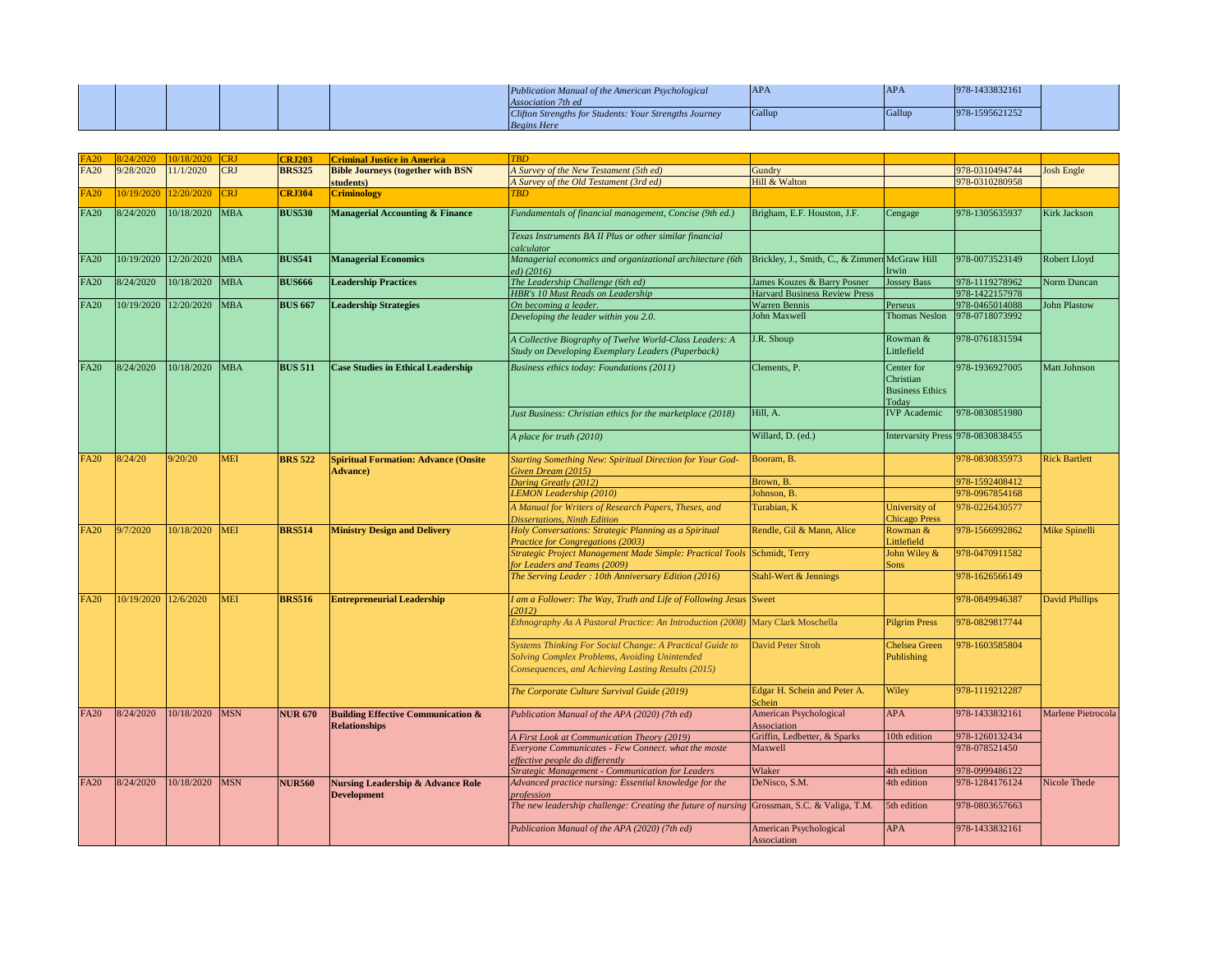|  |  |  | Publication Manual of the American Psychological       | <b>APA</b>    | APA    | $ 978-1433832161 $ |  |
|--|--|--|--------------------------------------------------------|---------------|--------|--------------------|--|
|  |  |  | <b>Association 7th ed</b>                              |               |        |                    |  |
|  |  |  | Clifton Strengths for Students: Your Strengths Journey | <b>School</b> | Gallup | 978-1595621252     |  |
|  |  |  | <b>Begins Here</b>                                     |               |        |                    |  |

| FA20        | 8/24/2020            | 10/18/2020            | <b>CRJ</b> | <b>CRJ203</b>  | <b>Criminal Justice in America</b>                                    | <b>TBD</b>                                                                                                                                                      |                                                |                                                            |                                   |                      |
|-------------|----------------------|-----------------------|------------|----------------|-----------------------------------------------------------------------|-----------------------------------------------------------------------------------------------------------------------------------------------------------------|------------------------------------------------|------------------------------------------------------------|-----------------------------------|----------------------|
| <b>FA20</b> | 9/28/2020            | 11/1/2020             | <b>CRJ</b> | <b>BRS325</b>  | <b>Bible Journeys (together with BSN</b>                              | A Survey of the New Testament (5th ed)                                                                                                                          | Gundry                                         |                                                            | 978-0310494744                    | <b>Josh Engle</b>    |
|             |                      |                       |            |                | students)                                                             | A Survey of the Old Testament (3rd ed)                                                                                                                          | Hill & Walton                                  |                                                            | 978-0310280958                    |                      |
| FA20        |                      | 10/19/2020 12/20/2020 | <b>CRJ</b> | <b>CRJ304</b>  | <b>Criminology</b>                                                    | <b>TBD</b>                                                                                                                                                      |                                                |                                                            |                                   |                      |
| <b>FA20</b> | 8/24/2020            | 10/18/2020            | <b>MBA</b> | <b>BUS530</b>  | <b>Managerial Accounting &amp; Finance</b>                            | Fundamentals of financial management, Concise (9th ed.)                                                                                                         | Brigham, E.F. Houston, J.F.                    | Cengage                                                    | 978-1305635937                    | <b>Kirk Jackson</b>  |
|             |                      |                       |            |                |                                                                       | Texas Instruments BA II Plus or other similar financial<br>calculator                                                                                           |                                                |                                                            |                                   |                      |
| <b>FA20</b> |                      | 10/19/2020 12/20/2020 | <b>MBA</b> | <b>BUS541</b>  | <b>Managerial Economics</b>                                           | Managerial economics and organizational architecture (6th<br>ed(2016)                                                                                           | Brickley, J., Smith, C., & Zimmerr McGraw Hill | Irwin                                                      | 978-0073523149                    | Robert Lloyd         |
| <b>FA20</b> | 8/24/2020            | 10/18/2020            | <b>MBA</b> | <b>BUS666</b>  | <b>Leadership Practices</b>                                           | The Leadership Challenge (6th ed)                                                                                                                               | James Kouzes & Barry Posner                    | Jossey Bass                                                | 978-1119278962                    | Norm Duncan          |
|             |                      |                       |            |                |                                                                       | <b>HBR's 10 Must Reads on Leadership</b>                                                                                                                        | <b>Harvard Business Review Press</b>           |                                                            | 978-1422157978                    |                      |
| <b>FA20</b> |                      | 10/19/2020 12/20/2020 | <b>MBA</b> | <b>BUS 667</b> | <b>Leadership Strategies</b>                                          | On becoming a leader.<br>Developing the leader within you 2.0.                                                                                                  | <b>Warren Bennis</b><br>John Maxwell           | Perseus<br><b>Thomas Neslon</b>                            | 978-0465014088<br>978-0718073992  | John Plastow         |
|             |                      |                       |            |                |                                                                       | A Collective Biography of Twelve World-Class Leaders: A<br>Study on Developing Exemplary Leaders (Paperback)                                                    | J.R. Shoup                                     | Rowman $&$<br>Littlefield                                  | 978-0761831594                    |                      |
| <b>FA20</b> | 8/24/2020            | 10/18/2020            | <b>MBA</b> | <b>BUS 511</b> | <b>Case Studies in Ethical Leadership</b>                             | Business ethics today: Foundations (2011)                                                                                                                       | Clements, P.                                   | Center for<br>Christian<br><b>Business Ethics</b><br>Today | 978-1936927005                    | <b>Matt Johnson</b>  |
|             |                      |                       |            |                |                                                                       | Just Business: Christian ethics for the marketplace (2018)                                                                                                      | Hill, A.                                       | <b>IVP</b> Academic                                        | 978-0830851980                    |                      |
|             |                      |                       |            |                |                                                                       | A place for truth (2010)                                                                                                                                        | Willard, D. (ed.)                              |                                                            | Intervarsity Press 978-0830838455 |                      |
| <b>FA20</b> | 8/24/20              | 9/20/20               | <b>MEI</b> | <b>BRS</b> 522 | <b>Spiritual Formation: Advance (Onsite</b><br><b>Advance</b> )       | <b>Starting Something New: Spiritual Direction for Your God-</b><br>Given Dream (2015)                                                                          | Booram, B.                                     |                                                            | 978-0830835973                    | <b>Rick Bartlett</b> |
|             |                      |                       |            |                |                                                                       | Daring Greatly (2012)                                                                                                                                           | Brown, B.                                      |                                                            | 978-1592408412                    |                      |
|             |                      |                       |            |                |                                                                       | <b>LEMON Leadership (2010)</b>                                                                                                                                  | Johnson, B.                                    |                                                            | 978-0967854168                    |                      |
|             |                      |                       |            |                |                                                                       | A Manual for Writers of Research Papers, Theses, and<br><b>Dissertations, Ninth Edition</b>                                                                     | Turabian, K                                    | University of<br><b>Chicago Press</b>                      | 978-0226430577                    |                      |
| <b>FA20</b> | 9/7/2020             | 10/18/2020            | <b>MEI</b> | <b>BRS514</b>  | <b>Ministry Design and Delivery</b>                                   | Holy Conversations: Strategic Planning as a Spiritual<br><b>Practice for Congregations (2003)</b>                                                               | Rendle, Gil & Mann, Alice                      | Rowman &<br>Littlefield                                    | 978-1566992862                    | Mike Spinelli        |
|             |                      |                       |            |                |                                                                       | Strategic Project Management Made Simple: Practical Tools Schmidt, Terry<br>for Leaders and Teams (2009)                                                        |                                                | John Wiley $\&$<br><b>Sons</b>                             | 978-0470911582                    |                      |
|             |                      |                       |            |                |                                                                       | The Serving Leader: 10th Anniversary Edition (2016)                                                                                                             | Stahl-Wert & Jennings                          |                                                            | 978-1626566149                    |                      |
| <b>FA20</b> | 10/19/2020 12/6/2020 |                       | <b>MEI</b> | <b>BRS516</b>  | <b>Entrepreneurial Leadership</b>                                     | I am a Follower: The Way, Truth and Life of Following Jesus Sweet<br>(2012)                                                                                     |                                                |                                                            | 978-0849946387                    | David Phillips       |
|             |                      |                       |            |                |                                                                       | Ethnography As A Pastoral Practice: An Introduction (2008) Mary Clark Moschella                                                                                 |                                                | <b>Pilgrim Press</b>                                       | 978-0829817744                    |                      |
|             |                      |                       |            |                |                                                                       | Systems Thinking For Social Change: A Practical Guide to<br>Solving Complex Problems, Avoiding Unintended<br>Consequences, and Achieving Lasting Results (2015) | David Peter Stroh                              | <b>Chelsea Green</b><br>Publishing                         | 978-1603585804                    |                      |
|             |                      |                       |            |                |                                                                       | The Corporate Culture Survival Guide (2019)                                                                                                                     | Edgar H. Schein and Peter A.<br>Schein         | Wiley                                                      | 978-1119212287                    |                      |
| <b>FA20</b> | 8/24/2020            | 10/18/2020            | <b>MSN</b> | <b>NUR 670</b> | <b>Building Effective Communication &amp;</b><br><b>Relationships</b> | Publication Manual of the APA (2020) (7th ed)                                                                                                                   | <b>American Psychological</b><br>Association   | <b>APA</b>                                                 | 978-1433832161                    | Marlene Pietrocola   |
|             |                      |                       |            |                |                                                                       | A First Look at Communication Theory (2019)                                                                                                                     | Griffin, Ledbetter, & Sparks                   | 10th edition                                               | 978-1260132434                    |                      |
|             |                      |                       |            |                |                                                                       | Everyone Communicates - Few Connect. what the moste<br>effective people do differently                                                                          | Maxwell                                        |                                                            | 978-078521450                     |                      |
|             |                      |                       |            |                |                                                                       | <b>Strategic Management - Communication for Leaders</b>                                                                                                         | Wlaker                                         | 4th edition                                                | 978-0999486122                    |                      |
| <b>FA20</b> | 8/24/2020            | 10/18/2020            | <b>MSN</b> | <b>NUR560</b>  | <b>Nursing Leadership &amp; Advance Role</b><br><b>Development</b>    | Advanced practice nursing: Essential knowledge for the<br>profession                                                                                            | DeNisco, S.M.                                  | 4th edition                                                | 978-1284176124                    | <b>Nicole Thede</b>  |
|             |                      |                       |            |                |                                                                       | The new leadership challenge: Creating the future of nursing Grossman, S.C. & Valiga, T.M.                                                                      |                                                | 5th edition                                                | 978-0803657663                    |                      |
|             |                      |                       |            |                |                                                                       | Publication Manual of the APA (2020) (7th ed)                                                                                                                   | American Psychological<br>Association          | <b>APA</b>                                                 | 978-1433832161                    |                      |